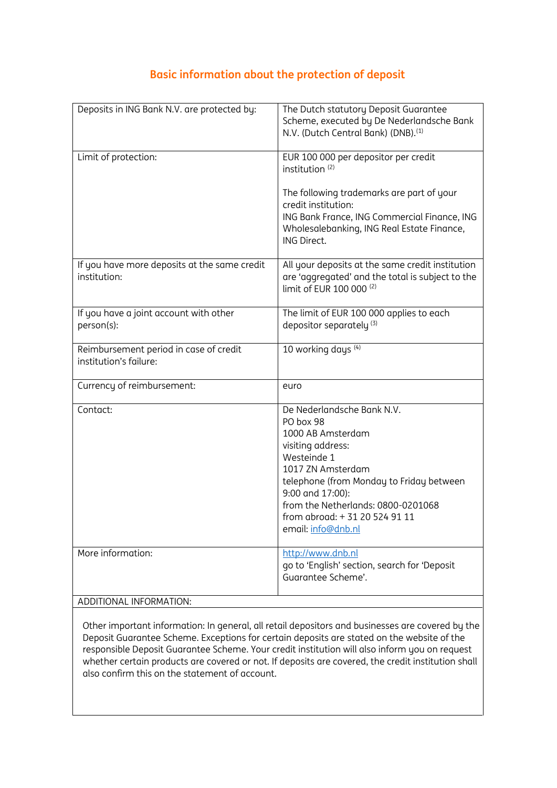## **Basic information about the protection of deposit**

| Deposits in ING Bank N.V. are protected by:                      | The Dutch statutory Deposit Guarantee<br>Scheme, executed by De Nederlandsche Bank<br>N.V. (Dutch Central Bank) (DNB). <sup>(1)</sup>                                                                                                                                               |
|------------------------------------------------------------------|-------------------------------------------------------------------------------------------------------------------------------------------------------------------------------------------------------------------------------------------------------------------------------------|
| Limit of protection:                                             | EUR 100 000 per depositor per credit<br>institution <sup>(2)</sup>                                                                                                                                                                                                                  |
|                                                                  | The following trademarks are part of your<br>credit institution:<br>ING Bank France, ING Commercial Finance, ING<br>Wholesalebanking, ING Real Estate Finance,<br>ING Direct.                                                                                                       |
| If you have more deposits at the same credit<br>institution:     | All your deposits at the same credit institution<br>are 'aggregated' and the total is subject to the<br>limit of EUR 100 000 (2)                                                                                                                                                    |
| If you have a joint account with other<br>person(s):             | The limit of EUR 100 000 applies to each<br>depositor separately <sup>(3)</sup>                                                                                                                                                                                                     |
| Reimbursement period in case of credit<br>institution's failure: | 10 working days (4)                                                                                                                                                                                                                                                                 |
| Currency of reimbursement:                                       | euro                                                                                                                                                                                                                                                                                |
| Contact:                                                         | De Nederlandsche Bank N.V.<br>PO box 98<br>1000 AB Amsterdam<br>visiting address:<br>Westeinde 1<br>1017 ZN Amsterdam<br>telephone (from Monday to Friday between<br>9:00 and 17:00):<br>from the Netherlands: 0800-0201068<br>from abroad: + 31 20 524 91 11<br>email: info@dnb.nl |
| More information:<br>ADDITIONAL INFORMATION:                     | http://www.dnb.nl<br>go to 'English' section, search for 'Deposit<br>Guarantee Scheme'.                                                                                                                                                                                             |

Other important information: In general, all retail depositors and businesses are covered by the Deposit Guarantee Scheme. Exceptions for certain deposits are stated on the website of the responsible Deposit Guarantee Scheme. Your credit institution will also inform you on request whether certain products are covered or not. If deposits are covered, the credit institution shall also confirm this on the statement of account.